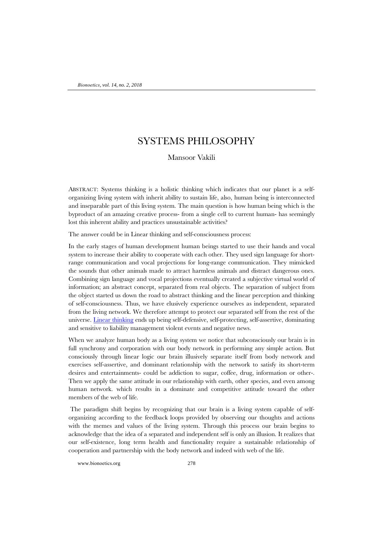# SYSTEMS PHILOSOPHY

Mansoor Vakili

ABSTRACT: Systems thinking is a holistic thinking which indicates that our planet is a selforganizing living system with inherit ability to sustain life, also, human being is interconnected and inseparable part of this living system. The main question is how human being which is the byproduct of an amazing creative process- from a single cell to current human- has seemingly lost this inherent ability and practices unsustainable activities?

The answer could be in Linear thinking and self-consciousness process:

In the early stages of human development human beings started to use their hands and vocal system to increase their ability to cooperate with each other. They used sign language for shortrange communication and vocal projections for long-range communication. They mimicked the sounds that other animals made to attract harmless animals and distract dangerous ones. Combining sign language and vocal projections eventually created a subjective virtual world of information; an abstract concept, separated from real objects. The separation of subject from the object started us down the road to abstract thinking and the linear perception and thinking of self-consciousness. Thus, we have elusively experience ourselves as independent, separated from the living network. We therefore attempt to protect our separated self from the rest of the universe. [Linear thinking](http://digital-age-transformation-era.com/linear-thinking.html) ends up being self-defensive, self-protecting, self-assertive, dominating and sensitive to liability management violent events and negative news.

When we analyze human body as a living system we notice that subconsciously our brain is in full synchrony and corporation with our body network in performing any simple action. But consciously through linear logic our brain illusively separate itself from body network and exercises self-assertive, and dominant relationship with the network to satisfy its short-term desires and entertainments- could be addiction to sugar, coffee, drug, information or other-. Then we apply the same attitude in our relationship with earth, other species, and even among human network. which results in a dominate and competitive attitude toward the other members of the web of life.

The paradigm shift begins by recognizing that our brain is a living system capable of selforganizing according to the feedback loops provided by observing our thoughts and actions with the memes and values of the living system. Through this process our brain begins to acknowledge that the idea of a separated and independent self is only an illusion. It realizes that our self-existence, long term health and functionality require a sustainable relationship of cooperation and partnership with the body network and indeed with web of the life.

www.bionoetics.org 278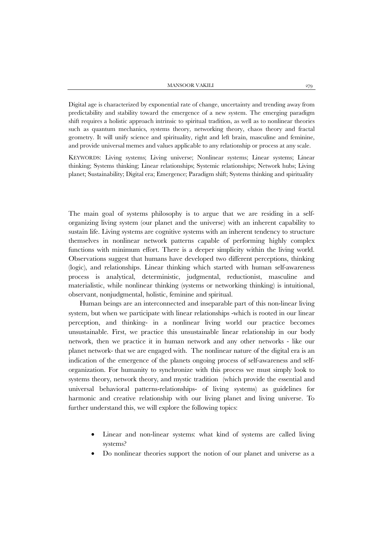Digital age is characterized by exponential rate of change, uncertainty and trending away from predictability and stability toward the emergence of a new system. The emerging paradigm shift requires a holistic approach intrinsic to spiritual tradition, as well as to nonlinear theories such as quantum mechanics, systems theory, networking theory, chaos theory and fractal geometry. It will unify science and spirituality, right and left brain, masculine and feminine, and provide universal memes and values applicable to any relationship or process at any scale.

KEYWORDS: Living systems; Living universe; Nonlinear systems; Linear systems; Linear thinking; Systems thinking; Linear relationships; Systemic relationships; Network hubs; Living planet; Sustainability; Digital era; Emergence; Paradigm shift; Systems thinking and spirituality

The main goal of systems philosophy is to argue that we are residing in a selforganizing living system (our planet and the universe) with an inherent capability to sustain life. Living systems are cognitive systems with an inherent tendency to structure themselves in nonlinear network patterns capable of performing highly complex functions with minimum effort. There is a deeper simplicity within the living world. Observations suggest that humans have developed two different perceptions, thinking (logic), and relationships. Linear thinking which started with human self-awareness process is analytical, deterministic, judgmental, reductionist, masculine and materialistic, while nonlinear thinking (systems or networking thinking) is intuitional, observant, nonjudgmental, holistic, feminine and spiritual.

Human beings are an interconnected and inseparable part of this non-linear living system, but when we participate with linear relationships -which is rooted in our linear perception, and thinking- in a nonlinear living world our practice becomes unsustainable. First, we practice this unsustainable linear relationship in our body network, then we practice it in human network and any other networks - like our planet network- that we are engaged with. The nonlinear nature of the digital era is an indication of the emergence of the planets ongoing process of self-awareness and selforganization. For humanity to synchronize with this process we must simply look to systems theory, network theory, and mystic tradition (which provide the essential and universal behavioral patterns-relationships- of living systems) as guidelines for harmonic and creative relationship with our living planet and living universe. To further understand this, we will explore the following topics:

- Linear and non-linear systems: what kind of systems are called living systems?
- Do nonlinear theories support the notion of our planet and universe as a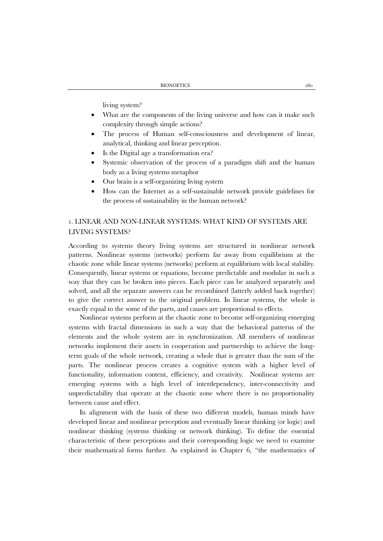living system?

- What are the components of the living universe and how can it make such complexity through simple actions?
- The process of Human self-consciousness and development of linear, analytical, thinking and linear perception.
- Is the Digital age a transformation era?
- Systemic observation of the process of a paradigm shift and the human body as a living systems metaphor
- Our brain is a self-organizing living system
- How can the Internet as a self-sustainable network provide guidelines for the process of sustainability in the human network?

## 1. LINEAR AND NON-LINEAR SYSTEMS: WHAT KIND OF SYSTEMS ARE LIVING SYSTEMS?

According to systems theory living systems are structured in nonlinear network patterns. Nonlinear systems (networks) perform far away from equilibrium at the chaotic zone while linear systems (networks) perform at equilibrium with local stability. Consequently, linear systems or equations, become predictable and modular in such a way that they can be broken into pieces. Each piece can be analyzed separately and solved, and all the separate answers can be recombined (latterly added back together) to give the correct answer to the original problem. In linear systems, the whole is exactly equal to the some of the parts, and causes are proportional to effects.

Nonlinear systems perform at the chaotic zone to become self-organizing emerging systems with fractal dimensions in such a way that the behavioral patterns of the elements and the whole system are in synchronization. All members of nonlinear networks implement their assets in cooperation and partnership to achieve the longterm goals of the whole network, creating a whole that is greater than the sum of the parts. The nonlinear process creates a cognitive system with a higher level of functionality, information content, efficiency, and creativity. Nonlinear systems are emerging systems with a high level of interdependency, inter-connectivity and unpredictability that operate at the chaotic zone where there is no proportionality between cause and effect.

In alignment with the basis of these two different models, human minds have developed linear and nonlinear perception and eventually linear thinking (or logic) and nonlinear thinking (systems thinking or network thinking). To define the essential characteristic of these perceptions and their corresponding logic we need to examine their mathematical forms further. As explained in Chapter 6, "the mathematics of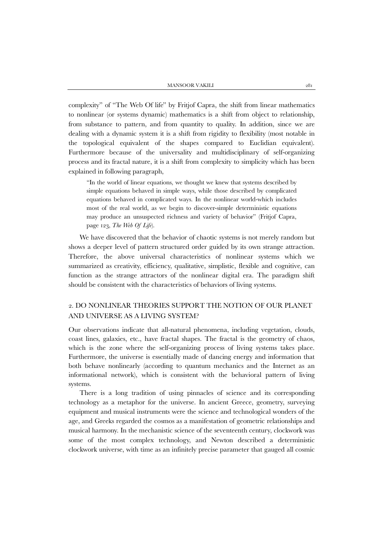complexity" of "The Web Of life" by Fritjof Capra, the shift from linear mathematics to nonlinear (or systems dynamic) mathematics is a shift from object to relationship, from substance to pattern, and from quantity to quality. In addition, since we are dealing with a dynamic system it is a shift from rigidity to flexibility (most notable in the topological equivalent of the shapes compared to Euclidian equivalent). Furthermore because of the universality and multidisciplinary of self-organizing process and its fractal nature, it is a shift from complexity to simplicity which has been explained in following paragraph,

"In the world of linear equations, we thought we knew that systems described by simple equations behaved in simple ways, while those described by complicated equations behaved in complicated ways. In the nonlinear world-which includes most of the real world, as we begin to discover-simple deterministic equations may produce an unsuspected richness and variety of behavior" (Fritjof Capra, page 123, *The Web Of Life*).

We have discovered that the behavior of chaotic systems is not merely random but shows a deeper level of pattern structured order guided by its own strange attraction. Therefore, the above universal characteristics of nonlinear systems which we summarized as creativity, efficiency, qualitative, simplistic, flexible and cognitive, can function as the strange attractors of the nonlinear digital era. The paradigm shift should be consistent with the characteristics of behaviors of living systems.

## 2. DO NONLINEAR THEORIES SUPPORT THE NOTION OF OUR PLANET AND UNIVERSE AS A LIVING SYSTEM?

Our observations indicate that all-natural phenomena, including vegetation, clouds, coast lines, galaxies, etc., have fractal shapes. The fractal is the geometry of chaos, which is the zone where the self-organizing process of living systems takes place. Furthermore, the universe is essentially made of dancing energy and information that both behave nonlinearly (according to quantum mechanics and the Internet as an informational network), which is consistent with the behavioral pattern of living systems.

There is a long tradition of using pinnacles of science and its corresponding technology as a metaphor for the universe. In ancient Greece, geometry, surveying equipment and musical instruments were the science and technological wonders of the age, and Greeks regarded the cosmos as a manifestation of geometric relationships and musical harmony. In the mechanistic science of the seventeenth century, clockwork was some of the most complex technology, and Newton described a deterministic clockwork universe, with time as an infinitely precise parameter that gauged all cosmic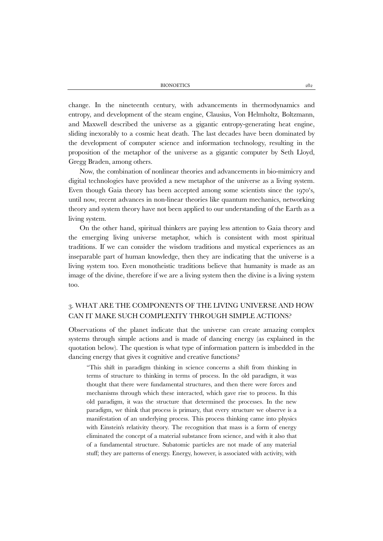change. In the nineteenth century, with advancements in thermodynamics and entropy, and development of the steam engine, Clausius, Von Helmholtz, Boltzmann, and Maxwell described the universe as a gigantic entropy-generating heat engine, sliding inexorably to a cosmic heat death. The last decades have been dominated by the development of computer science and information technology, resulting in the proposition of the metaphor of the universe as a gigantic computer by Seth Lloyd, Gregg Braden, among others.

Now, the combination of nonlinear theories and advancements in bio-mimicry and digital technologies have provided a new metaphor of the universe as a living system. Even though Gaia theory has been accepted among some scientists since the 1970's, until now, recent advances in non-linear theories like quantum mechanics, networking theory and system theory have not been applied to our understanding of the Earth as a living system.

On the other hand, spiritual thinkers are paying less attention to Gaia theory and the emerging living universe metaphor, which is consistent with most spiritual traditions. If we can consider the wisdom traditions and mystical experiences as an inseparable part of human knowledge, then they are indicating that the universe is a living system too. Even monotheistic traditions believe that humanity is made as an image of the divine, therefore if we are a living system then the divine is a living system too.

## 3. WHAT ARE THE COMPONENTS OF THE LIVING UNIVERSE AND HOW CAN IT MAKE SUCH COMPLEXITY THROUGH SIMPLE ACTIONS?

Observations of the planet indicate that the universe can create amazing complex systems through simple actions and is made of dancing energy (as explained in the quotation below). The question is what type of information pattern is imbedded in the dancing energy that gives it cognitive and creative functions?

"This shift in paradigm thinking in science concerns a shift from thinking in terms of structure to thinking in terms of process. In the old paradigm, it was thought that there were fundamental structures, and then there were forces and mechanisms through which these interacted, which gave rise to process. In this old paradigm, it was the structure that determined the processes. In the new paradigm, we think that process is primary, that every structure we observe is a manifestation of an underlying process. This process thinking came into physics with Einstein's relativity theory. The recognition that mass is a form of energy eliminated the concept of a material substance from science, and with it also that of a fundamental structure. Subatomic particles are not made of any material stuff; they are patterns of energy. Energy, however, is associated with activity, with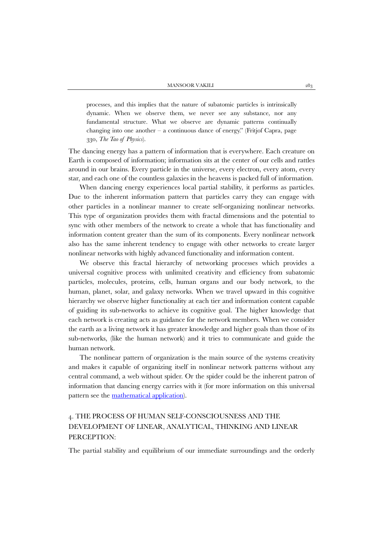processes, and this implies that the nature of subatomic particles is intrinsically dynamic. When we observe them, we never see any substance, nor any fundamental structure. What we observe are dynamic patterns continually changing into one another  $-$  a continuous dance of energy." (Fritjof Capra, page 330, *The Tao of Physics*).

The dancing energy has a pattern of information that is everywhere. Each creature on Earth is composed of information; information sits at the center of our cells and rattles around in our brains. Every particle in the universe, every electron, every atom, every star, and each one of the countless galaxies in the heavens is packed full of information.

When dancing energy experiences local partial stability, it performs as particles. Due to the inherent information pattern that particles carry they can engage with other particles in a nonlinear manner to create self-organizing nonlinear networks. This type of organization provides them with fractal dimensions and the potential to sync with other members of the network to create a whole that has functionality and information content greater than the sum of its components. Every nonlinear network also has the same inherent tendency to engage with other networks to create larger nonlinear networks with highly advanced functionality and information content.

We observe this fractal hierarchy of networking processes which provides a universal cognitive process with unlimited creativity and efficiency from subatomic particles, molecules, proteins, cells, human organs and our body network, to the human, planet, solar, and galaxy networks. When we travel upward in this cognitive hierarchy we observe higher functionality at each tier and information content capable of guiding its sub-networks to achieve its cognitive goal. The higher knowledge that each network is creating acts as guidance for the network members. When we consider the earth as a living network it has greater knowledge and higher goals than those of its sub-networks, (like the human network) and it tries to communicate and guide the human network.

The nonlinear pattern of organization is the main source of the systems creativity and makes it capable of organizing itself in nonlinear network patterns without any central command, a web without spider. Or the spider could be the inherent patron of information that dancing energy carries with it (for more information on this universal pattern see the [mathematical application\)](http://digital-age-transformation-era.com/mathematics.html).

# 4. THE PROCESS OF HUMAN SELF-CONSCIOUSNESS AND THE DEVELOPMENT OF LINEAR, ANALYTICAL, THINKING AND LINEAR PERCEPTION:

The partial stability and equilibrium of our immediate surroundings and the orderly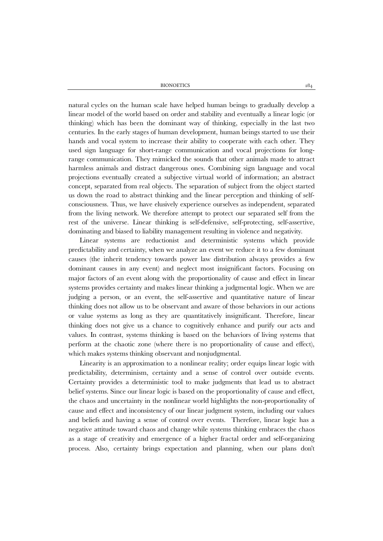natural cycles on the human scale have helped human beings to gradually develop a linear model of the world based on order and stability and eventually a linear logic (or thinking) which has been the dominant way of thinking, especially in the last two centuries. In the early stages of human development, human beings started to use their hands and vocal system to increase their ability to cooperate with each other. They used sign language for short-range communication and vocal projections for longrange communication. They mimicked the sounds that other animals made to attract harmless animals and distract dangerous ones. Combining sign language and vocal projections eventually created a subjective virtual world of information; an abstract concept, separated from real objects. The separation of subject from the object started us down the road to abstract thinking and the linear perception and thinking of selfconsciousness. Thus, we have elusively experience ourselves as independent, separated from the living network. We therefore attempt to protect our separated self from the rest of the universe. Linear thinking is self-defensive, self-protecting, self-assertive, dominating and biased to liability management resulting in violence and negativity.

Linear systems are reductionist and deterministic systems which provide predictability and certainty, when we analyze an event we reduce it to a few dominant causes (the inherit tendency towards power law distribution always provides a few dominant causes in any event) and neglect most insignificant factors. Focusing on major factors of an event along with the proportionality of cause and effect in linear systems provides certainty and makes linear thinking a judgmental logic. When we are judging a person, or an event, the self-assertive and quantitative nature of linear thinking does not allow us to be observant and aware of those behaviors in our actions or value systems as long as they are quantitatively insignificant. Therefore, linear thinking does not give us a chance to cognitively enhance and purify our acts and values. In contrast, systems thinking is based on the behaviors of living systems that perform at the chaotic zone (where there is no proportionality of cause and effect), which makes systems thinking observant and nonjudgmental.

Linearity is an approximation to a nonlinear reality; order equips linear logic with predictability, determinism, certainty and a sense of control over outside events. Certainty provides a deterministic tool to make judgments that lead us to abstract belief systems. Since our linear logic is based on the proportionality of cause and effect, the chaos and uncertainty in the nonlinear world highlights the non-proportionality of cause and effect and inconsistency of our linear judgment system, including our values and beliefs and having a sense of control over events. Therefore, linear logic has a negative attitude toward chaos and change while systems thinking embraces the chaos as a stage of creativity and emergence of a higher fractal order and self-organizing process. Also, certainty brings expectation and planning, when our plans don't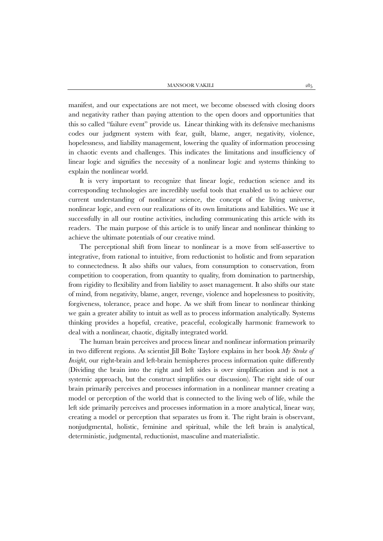manifest, and our expectations are not meet, we become obsessed with closing doors and negativity rather than paying attention to the open doors and opportunities that this so called "failure event" provide us. Linear thinking with its defensive mechanisms codes our judgment system with fear, guilt, blame, anger, negativity, violence, hopelessness, and liability management, lowering the quality of information processing in chaotic events and challenges. This indicates the limitations and insufficiency of linear logic and signifies the necessity of a nonlinear logic and systems thinking to explain the nonlinear world.

It is very important to recognize that linear logic, reduction science and its corresponding technologies are incredibly useful tools that enabled us to achieve our current understanding of nonlinear science, the concept of the living universe, nonlinear logic, and even our realizations of its own limitations and liabilities. We use it successfully in all our routine activities, including communicating this article with its readers. The main purpose of this article is to unify linear and nonlinear thinking to achieve the ultimate potentials of our creative mind.

The perceptional shift from linear to nonlinear is a move from self-assertive to integrative, from rational to intuitive, from reductionist to holistic and from separation to connectedness. It also shifts our values, from consumption to conservation, from competition to cooperation, from quantity to quality, from domination to partnership, from rigidity to flexibility and from liability to asset management. It also shifts our state of mind, from negativity, blame, anger, revenge, violence and hopelessness to positivity, forgiveness, tolerance, peace and hope. As we shift from linear to nonlinear thinking we gain a greater ability to intuit as well as to process information analytically. Systems thinking provides a hopeful, creative, peaceful, ecologically harmonic framework to deal with a nonlinear, chaotic, digitally integrated world.

The human brain perceives and process linear and nonlinear information primarily in two different regions. As scientist Jill Bolte Taylore explains in her book *My Stroke of Insight*, our right-brain and left-brain hemispheres process information quite differently (Dividing the brain into the right and left sides is over simplification and is not a systemic approach, but the construct simplifies our discussion). The right side of our brain primarily perceives and processes information in a nonlinear manner creating a model or perception of the world that is connected to the living web of life, while the left side primarily perceives and processes information in a more analytical, linear way, creating a model or perception that separates us from it. The right brain is observant, nonjudgmental, holistic, feminine and spiritual, while the left brain is analytical, deterministic, judgmental, reductionist, masculine and materialistic.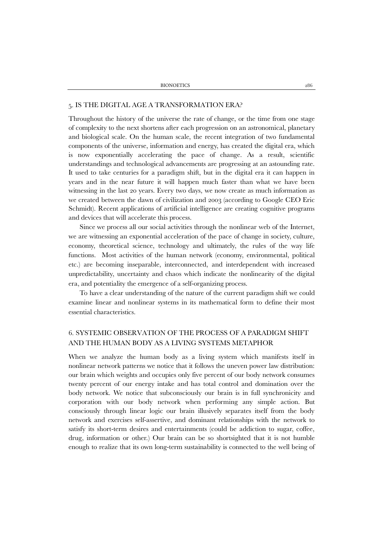#### 5. IS THE DIGITAL AGE A TRANSFORMATION ERA?

Throughout the history of the universe the rate of change, or the time from one stage of complexity to the next shortens after each progression on an astronomical, planetary and biological scale. On the human scale, the recent integration of two fundamental components of the universe, information and energy, has created the digital era, which is now exponentially accelerating the pace of change. As a result, scientific understandings and technological advancements are progressing at an astounding rate. It used to take centuries for a paradigm shift, but in the digital era it can happen in years and in the near future it will happen much faster than what we have been witnessing in the last 20 years. Every two days, we now create as much information as we created between the dawn of civilization and 2003 (according to Google CEO Eric Schmidt). Recent applications of artificial intelligence are creating cognitive programs and devices that will accelerate this process.

Since we process all our social activities through the nonlinear web of the Internet, we are witnessing an exponential acceleration of the pace of change in society, culture, economy, theoretical science, technology and ultimately, the rules of the way life functions. Most activities of the human network (economy, environmental, political etc.) are becoming inseparable, interconnected, and interdependent with increased unpredictability, uncertainty and chaos which indicate the nonlinearity of the digital era, and potentiality the emergence of a self-organizing process.

To have a clear understanding of the nature of the current paradigm shift we could examine linear and nonlinear systems in its mathematical form to define their most essential characteristics.

### 6. SYSTEMIC OBSERVATION OF THE PROCESS OF A PARADIGM SHIFT AND THE HUMAN BODY AS A LIVING SYSTEMS METAPHOR

When we analyze the human body as a living system which manifests itself in nonlinear network patterns we notice that it follows the uneven power law distribution: our brain which weights and occupies only five percent of our body network consumes twenty percent of our energy intake and has total control and domination over the body network. We notice that subconsciously our brain is in full synchronicity and corporation with our body network when performing any simple action. But consciously through linear logic our brain illusively separates itself from the body network and exercises self-assertive, and dominant relationships with the network to satisfy its short-term desires and entertainments (could be addiction to sugar, coffee, drug, information or other.) Our brain can be so shortsighted that it is not humble enough to realize that its own long-term sustainability is connected to the well being of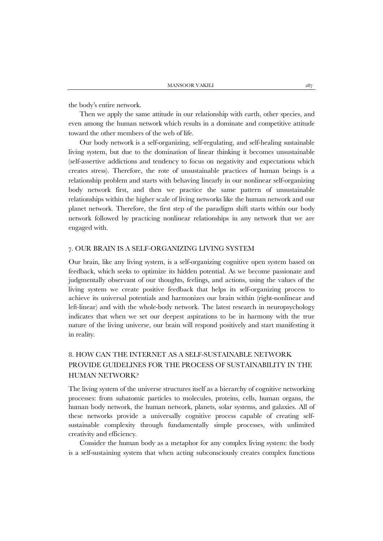the body's entire network.

Then we apply the same attitude in our relationship with earth, other species, and even among the human network which results in a dominate and competitive attitude toward the other members of the web of life.

Our body network is a self-organizing, self-regulating, and self-healing sustainable living system, but due to the domination of linear thinking it becomes unsustainable (self-assertive addictions and tendency to focus on negativity and expectations which creates stress). Therefore, the rote of unsustainable practices of human beings is a relationship problem and starts with behaving linearly in our nonlinear self-organizing body network first, and then we practice the same pattern of unsustainable relationships within the higher scale of living networks like the human network and our planet network. Therefore, the first step of the paradigm shift starts within our body network followed by practicing nonlinear relationships in any network that we are engaged with.

#### 7. OUR BRAIN IS A SELF-ORGANIZING LIVING SYSTEM

Our brain, like any living system, is a self-organizing cognitive open system based on feedback, which seeks to optimize its hidden potential. As we become passionate and judgmentally observant of our thoughts, feelings, and actions, using the values of the living system we create positive feedback that helps its self-organizing process to achieve its universal potentials and harmonizes our brain within (right-nonlinear and left-linear) and with the whole-body network. The latest research in neuropsychology indicates that when we set our deepest aspirations to be in harmony with the true nature of the living universe, our brain will respond positively and start manifesting it in reality.

# 8. HOW CAN THE INTERNET AS A SELF-SUSTAINABLE NETWORK PROVIDE GUIDELINES FOR THE PROCESS OF SUSTAINABILITY IN THE HUMAN NETWORK?

The living system of the universe structures itself as a hierarchy of cognitive networking processes: from subatomic particles to molecules, proteins, cells, human organs, the human body network, the human network, planets, solar systems, and galaxies. All of these networks provide a universally cognitive process capable of creating selfsustainable complexity through fundamentally simple processes, with unlimited creativity and efficiency.

Consider the human body as a metaphor for any complex living system: the body is a self-sustaining system that when acting subconsciously creates complex functions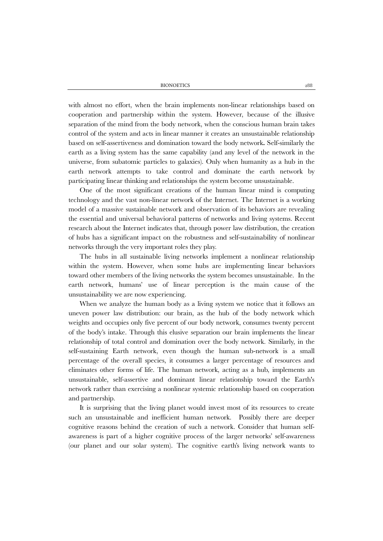with almost no effort, when the brain implements non-linear relationships based on cooperation and partnership within the system. However, because of the illusive separation of the mind from the body network, when the conscious human brain takes control of the system and acts in linear manner it creates an unsustainable relationship based on self-assertiveness and domination toward the body network**.** Self-similarly the earth as a living system has the same capability (and any level of the network in the universe, from subatomic particles to galaxies). Only when humanity as a hub in the earth network attempts to take control and dominate the earth network by participating linear thinking and relationships the system become unsustainable.

One of the most significant creations of the human linear mind is computing technology and the vast non-linear network of the Internet. The Internet is a working model of a massive sustainable network and observation of its behaviors are revealing the essential and universal behavioral patterns of networks and living systems. Recent research about the Internet indicates that, through power law distribution, the creation of hubs has a significant impact on the robustness and self-sustainability of nonlinear networks through the very important roles they play.

The hubs in all sustainable living networks implement a nonlinear relationship within the system. However, when some hubs are implementing linear behaviors toward other members of the living networks the system becomes unsustainable. In the earth network, humans' use of linear perception is the main cause of the unsustainability we are now experiencing.

When we analyze the human body as a living system we notice that it follows an uneven power law distribution: our brain, as the hub of the body network which weights and occupies only five percent of our body network, consumes twenty percent of the body's intake. Through this elusive separation our brain implements the linear relationship of total control and domination over the body network. Similarly, in the self-sustaining Earth network, even though the human sub-network is a small percentage of the overall species, it consumes a larger percentage of resources and eliminates other forms of life. The human network, acting as a hub, implements an unsustainable, self-assertive and dominant linear relationship toward the Earth's network rather than exercising a nonlinear systemic relationship based on cooperation and partnership.

It is surprising that the living planet would invest most of its resources to create such an unsustainable and inefficient human network. Possibly there are deeper cognitive reasons behind the creation of such a network. Consider that human selfawareness is part of a higher cognitive process of the larger networks' self-awareness (our planet and our solar system). The cognitive earth's living network wants to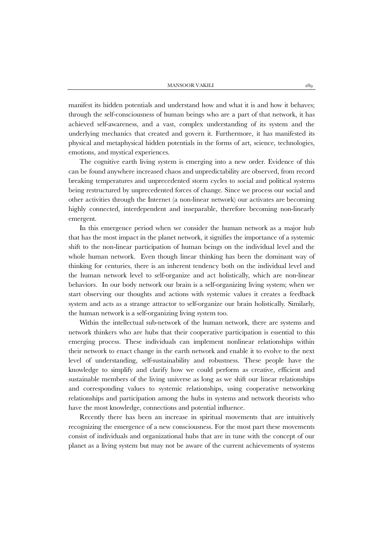manifest its hidden potentials and understand how and what it is and how it behaves; through the self-consciousness of human beings who are a part of that network, it has achieved self-awareness, and a vast, complex understanding of its system and the underlying mechanics that created and govern it. Furthermore, it has manifested its physical and metaphysical hidden potentials in the forms of art, science, technologies, emotions, and mystical experiences.

The cognitive earth living system is emerging into a new order. Evidence of this can be found anywhere increased chaos and unpredictability are observed, from record breaking temperatures and unprecedented storm cycles to social and political systems being restructured by unprecedented forces of change. Since we process our social and other activities through the Internet (a non-linear network) our activates are becoming highly connected, interdependent and inseparable, therefore becoming non-linearly emergent.

In this emergence period when we consider the human network as a major hub that has the most impact in the planet network, it signifies the importance of a systemic shift to the non-linear participation of human beings on the individual level and the whole human network. Even though linear thinking has been the dominant way of thinking for centuries, there is an inherent tendency both on the individual level and the human network level to self-organize and act holistically, which are non-linear behaviors. In our body network our brain is a self-organizing living system; when we start observing our thoughts and actions with systemic values it creates a feedback system and acts as a strange attractor to self-organize our brain holistically. Similarly, the human network is a self-organizing living system too.

Within the intellectual sub-network of the human network, there are systems and network thinkers who are hubs that their cooperative participation is essential to this emerging process. These individuals can implement nonlinear relationships within their network to enact change in the earth network and enable it to evolve to the next level of understanding, self-sustainability and robustness. These people have the knowledge to simplify and clarify how we could perform as creative, efficient and sustainable members of the living universe as long as we shift our linear relationships and corresponding values to systemic relationships, using cooperative networking relationships and participation among the hubs in systems and network theorists who have the most knowledge, connections and potential influence.

Recently there has been an increase in spiritual movements that are intuitively recognizing the emergence of a new consciousness. For the most part these movements consist of individuals and organizational hubs that are in tune with the concept of our planet as a living system but may not be aware of the current achievements of systems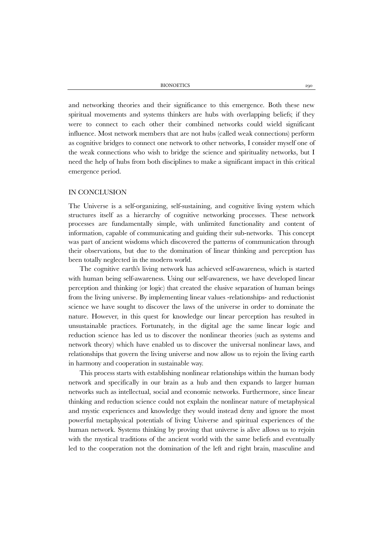and networking theories and their significance to this emergence. Both these new spiritual movements and systems thinkers are hubs with overlapping beliefs; if they were to connect to each other their combined networks could wield significant influence. Most network members that are not hubs (called weak connections) perform as cognitive bridges to connect one network to other networks, I consider myself one of the weak connections who wish to bridge the science and spirituality networks, but I need the help of hubs from both disciplines to make a significant impact in this critical emergence period.

#### IN CONCLUSION

The Universe is a self-organizing, self-sustaining, and cognitive living system which structures itself as a hierarchy of cognitive networking processes. These network processes are fundamentally simple, with unlimited functionality and content of information, capable of communicating and guiding their sub-networks. This concept was part of ancient wisdoms which discovered the patterns of communication through their observations, but due to the domination of linear thinking and perception has been totally neglected in the modern world.

The cognitive earth's living network has achieved self-awareness, which is started with human being self-awareness. Using our self-awareness, we have developed linear perception and thinking (or logic) that created the elusive separation of human beings from the living universe. By implementing linear values -relationships- and reductionist science we have sought to discover the laws of the universe in order to dominate the nature. However, in this quest for knowledge our linear perception has resulted in unsustainable practices. Fortunately, in the digital age the same linear logic and reduction science has led us to discover the nonlinear theories (such as systems and network theory) which have enabled us to discover the universal nonlinear laws, and relationships that govern the living universe and now allow us to rejoin the living earth in harmony and cooperation in sustainable way.

This process starts with establishing nonlinear relationships within the human body network and specifically in our brain as a hub and then expands to larger human networks such as intellectual, social and economic networks. Furthermore, since linear thinking and reduction science could not explain the nonlinear nature of metaphysical and mystic experiences and knowledge they would instead deny and ignore the most powerful metaphysical potentials of living Universe and spiritual experiences of the human network. Systems thinking by proving that universe is alive allows us to rejoin with the mystical traditions of the ancient world with the same beliefs and eventually led to the cooperation not the domination of the left and right brain, masculine and